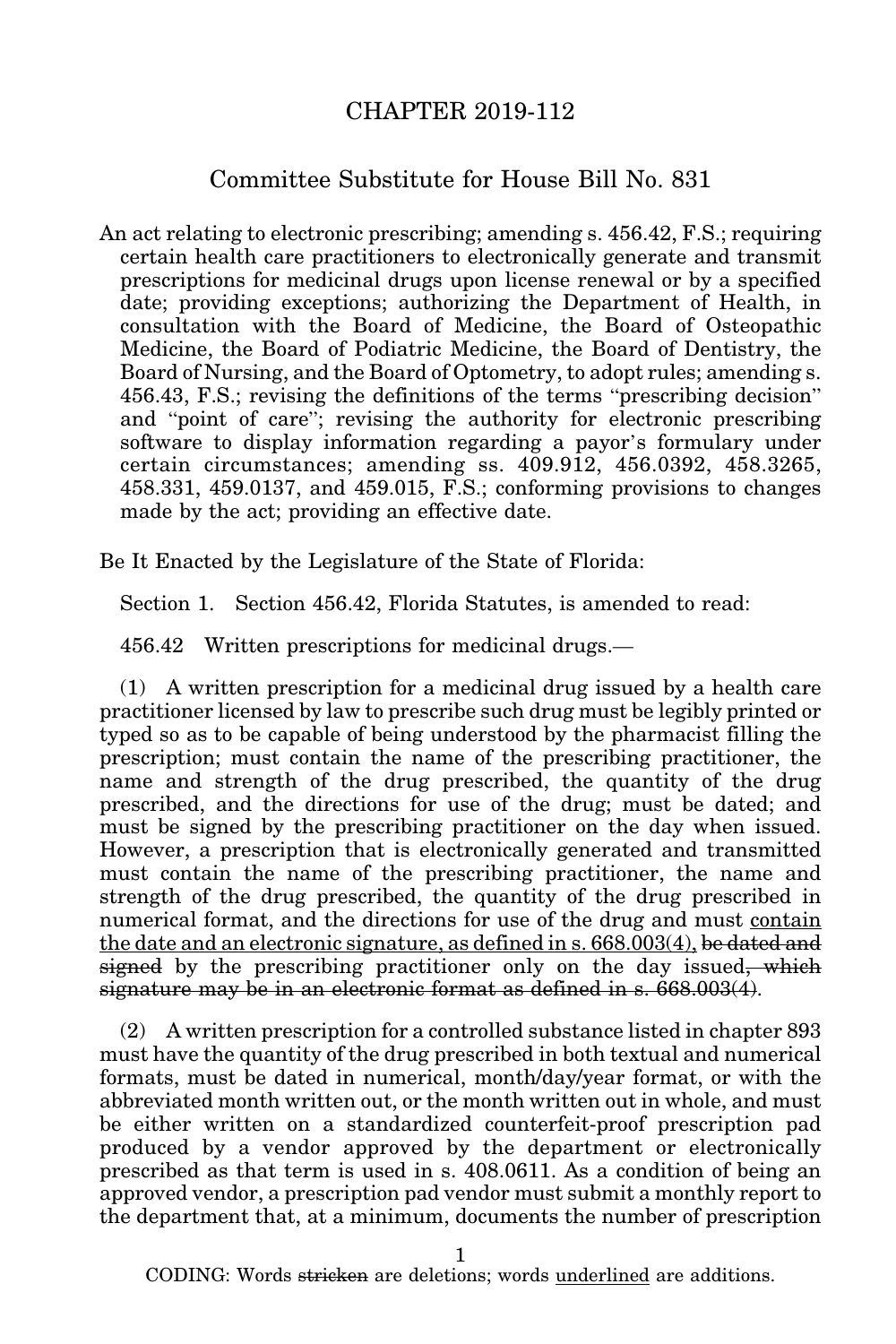## CHAPTER 2019-112

## Committee Substitute for House Bill No. 831

An act relating to electronic prescribing; amending s. 456.42, F.S.; requiring certain health care practitioners to electronically generate and transmit prescriptions for medicinal drugs upon license renewal or by a specified date; providing exceptions; authorizing the Department of Health, in consultation with the Board of Medicine, the Board of Osteopathic Medicine, the Board of Podiatric Medicine, the Board of Dentistry, the Board of Nursing, and the Board of Optometry, to adopt rules; amending s. 456.43, F.S.; revising the definitions of the terms "prescribing decision" and "point of care"; revising the authority for electronic prescribing software to display information regarding a payor's formulary under certain circumstances; amending ss. 409.912, 456.0392, 458.3265, 458.331, 459.0137, and 459.015, F.S.; conforming provisions to changes made by the act; providing an effective date.

Be It Enacted by the Legislature of the State of Florida:

Section 1. Section 456.42, Florida Statutes, is amended to read:

456.42 Written prescriptions for medicinal drugs.—

(1) A written prescription for a medicinal drug issued by a health care practitioner licensed by law to prescribe such drug must be legibly printed or typed so as to be capable of being understood by the pharmacist filling the prescription; must contain the name of the prescribing practitioner, the name and strength of the drug prescribed, the quantity of the drug prescribed, and the directions for use of the drug; must be dated; and must be signed by the prescribing practitioner on the day when issued. However, a prescription that is electronically generated and transmitted must contain the name of the prescribing practitioner, the name and strength of the drug prescribed, the quantity of the drug prescribed in numerical format, and the directions for use of the drug and must contain the date and an electronic signature, as defined in s. 668.003(4), be dated and signed by the prescribing practitioner only on the day issued, which signature may be in an electronic format as defined in s. 668.003(4).

(2) A written prescription for a controlled substance listed in chapter 893 must have the quantity of the drug prescribed in both textual and numerical formats, must be dated in numerical, month/day/year format, or with the abbreviated month written out, or the month written out in whole, and must be either written on a standardized counterfeit-proof prescription pad produced by a vendor approved by the department or electronically prescribed as that term is used in s. 408.0611. As a condition of being an approved vendor, a prescription pad vendor must submit a monthly report to the department that, at a minimum, documents the number of prescription

1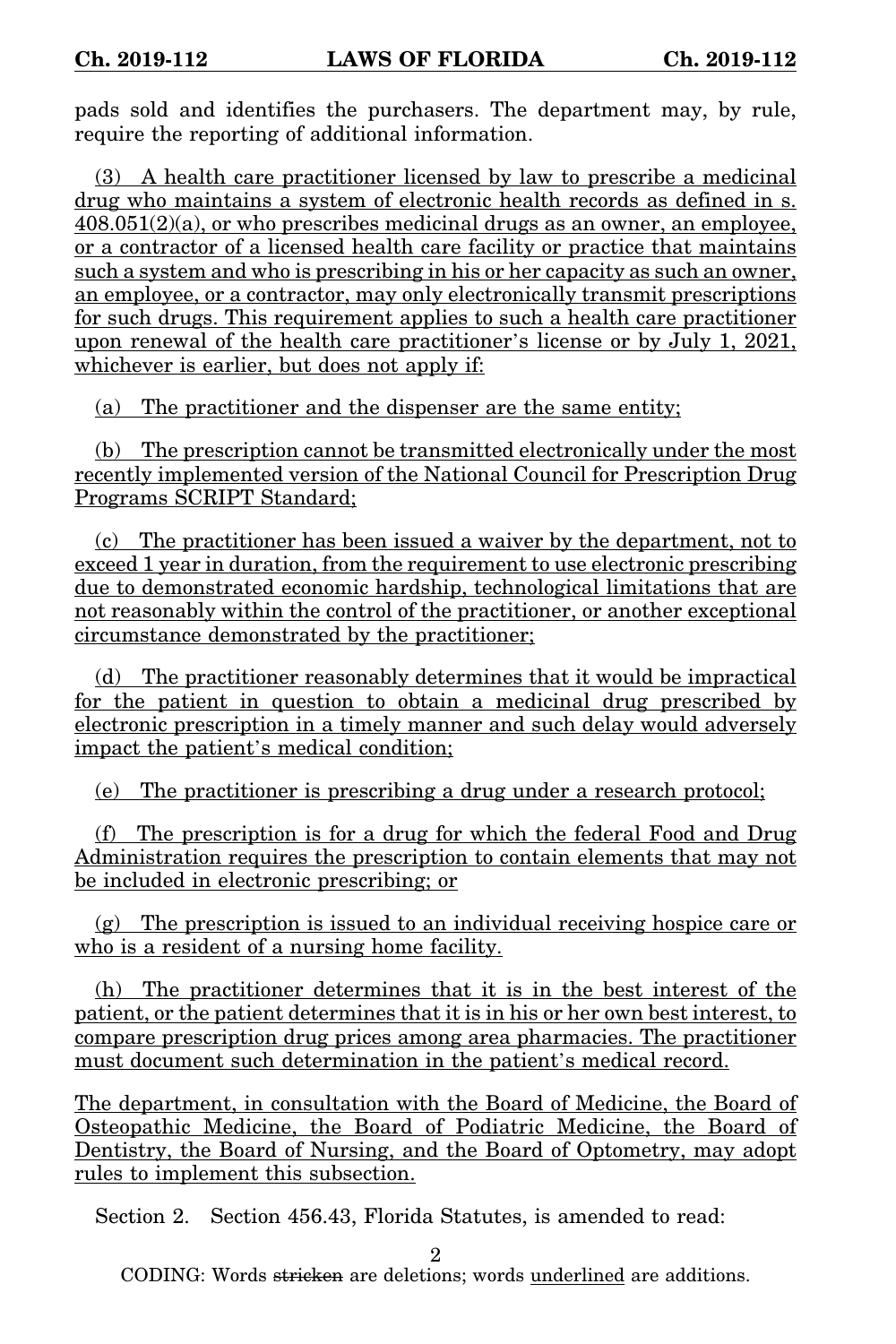pads sold and identifies the purchasers. The department may, by rule, require the reporting of additional information.

(3) A health care practitioner licensed by law to prescribe a medicinal drug who maintains a system of electronic health records as defined in s.  $408.051(2)(a)$ , or who prescribes medicinal drugs as an owner, an employee, or a contractor of a licensed health care facility or practice that maintains such a system and who is prescribing in his or her capacity as such an owner, an employee, or a contractor, may only electronically transmit prescriptions for such drugs. This requirement applies to such a health care practitioner upon renewal of the health care practitioner's license or by July 1, 2021, whichever is earlier, but does not apply if:

(a) The practitioner and the dispenser are the same entity;

(b) The prescription cannot be transmitted electronically under the most recently implemented version of the National Council for Prescription Drug Programs SCRIPT Standard;

(c) The practitioner has been issued a waiver by the department, not to exceed 1 year in duration, from the requirement to use electronic prescribing due to demonstrated economic hardship, technological limitations that are not reasonably within the control of the practitioner, or another exceptional circumstance demonstrated by the practitioner;

(d) The practitioner reasonably determines that it would be impractical for the patient in question to obtain a medicinal drug prescribed by electronic prescription in a timely manner and such delay would adversely impact the patient's medical condition;

(e) The practitioner is prescribing a drug under a research protocol;

(f) The prescription is for a drug for which the federal Food and Drug Administration requires the prescription to contain elements that may not be included in electronic prescribing; or

(g) The prescription is issued to an individual receiving hospice care or who is a resident of a nursing home facility.

(h) The practitioner determines that it is in the best interest of the patient, or the patient determines that it is in his or her own best interest, to compare prescription drug prices among area pharmacies. The practitioner must document such determination in the patient's medical record.

The department, in consultation with the Board of Medicine, the Board of Osteopathic Medicine, the Board of Podiatric Medicine, the Board of Dentistry, the Board of Nursing, and the Board of Optometry, may adopt rules to implement this subsection.

Section 2. Section 456.43, Florida Statutes, is amended to read:

2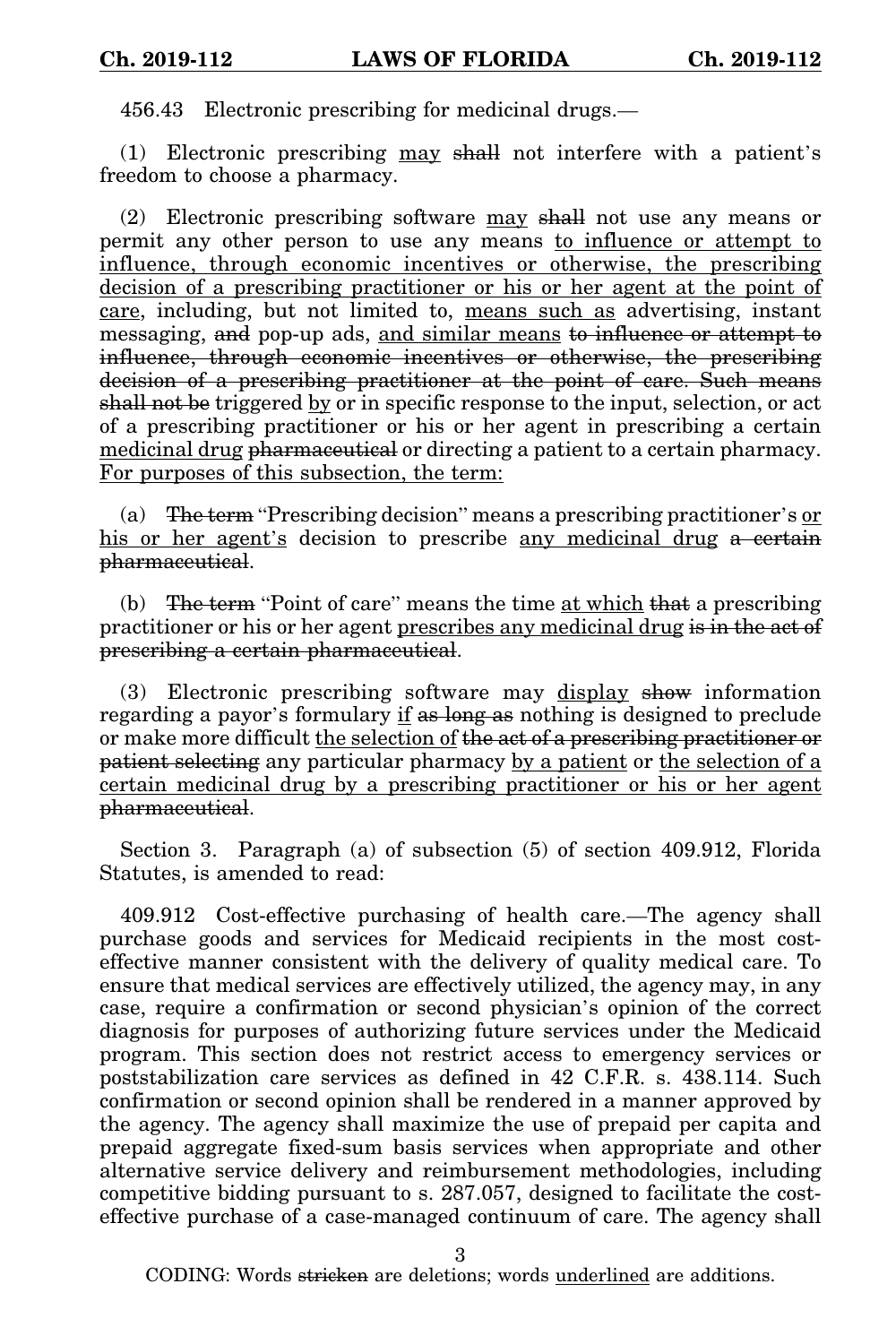456.43 Electronic prescribing for medicinal drugs.—

(1) Electronic prescribing may shall not interfere with a patient's freedom to choose a pharmacy.

(2) Electronic prescribing software may shall not use any means or permit any other person to use any means to influence or attempt to influence, through economic incentives or otherwise, the prescribing decision of a prescribing practitioner or his or her agent at the point of care, including, but not limited to, means such as advertising, instant messaging, and pop-up ads, and similar means to influence or attempt to influence, through economic incentives or otherwise, the prescribing decision of a prescribing practitioner at the point of care. Such means shall not be triggered by or in specific response to the input, selection, or act of a prescribing practitioner or his or her agent in prescribing a certain medicinal drug pharmaceutical or directing a patient to a certain pharmacy. For purposes of this subsection, the term:

(a) The term "Prescribing decision" means a prescribing practitioner's  $or$ </u> his or her agent's decision to prescribe any medicinal drug a certain pharmaceutical.

(b) The term "Point of care" means the time at which that a prescribing practitioner or his or her agent prescribes any medicinal drug is in the act of prescribing a certain pharmaceutical.

(3) Electronic prescribing software may display show information regarding a payor's formulary if as long as nothing is designed to preclude or make more difficult the selection of the act of a prescribing practitioner or patient selecting any particular pharmacy by a patient or the selection of a certain medicinal drug by a prescribing practitioner or his or her agent pharmaceutical.

Section 3. Paragraph (a) of subsection (5) of section 409.912, Florida Statutes, is amended to read:

409.912 Cost-effective purchasing of health care.—The agency shall purchase goods and services for Medicaid recipients in the most costeffective manner consistent with the delivery of quality medical care. To ensure that medical services are effectively utilized, the agency may, in any case, require a confirmation or second physician's opinion of the correct diagnosis for purposes of authorizing future services under the Medicaid program. This section does not restrict access to emergency services or poststabilization care services as defined in 42 C.F.R. s. 438.114. Such confirmation or second opinion shall be rendered in a manner approved by the agency. The agency shall maximize the use of prepaid per capita and prepaid aggregate fixed-sum basis services when appropriate and other alternative service delivery and reimbursement methodologies, including competitive bidding pursuant to s. 287.057, designed to facilitate the costeffective purchase of a case-managed continuum of care. The agency shall

3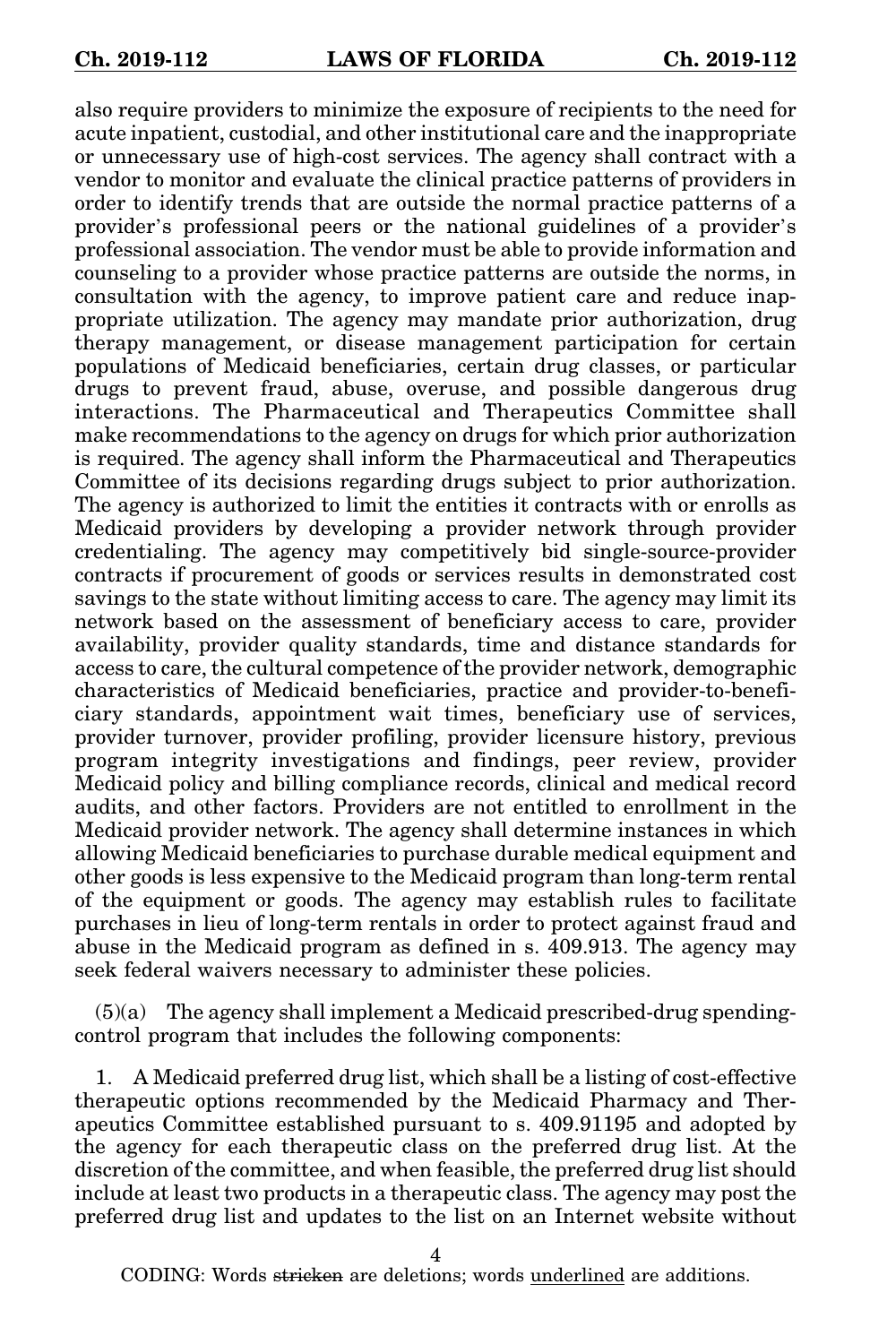also require providers to minimize the exposure of recipients to the need for acute inpatient, custodial, and other institutional care and the inappropriate or unnecessary use of high-cost services. The agency shall contract with a vendor to monitor and evaluate the clinical practice patterns of providers in order to identify trends that are outside the normal practice patterns of a provider's professional peers or the national guidelines of a provider's professional association. The vendor must be able to provide information and counseling to a provider whose practice patterns are outside the norms, in consultation with the agency, to improve patient care and reduce inappropriate utilization. The agency may mandate prior authorization, drug therapy management, or disease management participation for certain populations of Medicaid beneficiaries, certain drug classes, or particular drugs to prevent fraud, abuse, overuse, and possible dangerous drug interactions. The Pharmaceutical and Therapeutics Committee shall make recommendations to the agency on drugs for which prior authorization is required. The agency shall inform the Pharmaceutical and Therapeutics Committee of its decisions regarding drugs subject to prior authorization. The agency is authorized to limit the entities it contracts with or enrolls as Medicaid providers by developing a provider network through provider credentialing. The agency may competitively bid single-source-provider contracts if procurement of goods or services results in demonstrated cost savings to the state without limiting access to care. The agency may limit its network based on the assessment of beneficiary access to care, provider availability, provider quality standards, time and distance standards for access to care, the cultural competence of the provider network, demographic characteristics of Medicaid beneficiaries, practice and provider-to-beneficiary standards, appointment wait times, beneficiary use of services, provider turnover, provider profiling, provider licensure history, previous program integrity investigations and findings, peer review, provider Medicaid policy and billing compliance records, clinical and medical record audits, and other factors. Providers are not entitled to enrollment in the Medicaid provider network. The agency shall determine instances in which allowing Medicaid beneficiaries to purchase durable medical equipment and other goods is less expensive to the Medicaid program than long-term rental of the equipment or goods. The agency may establish rules to facilitate purchases in lieu of long-term rentals in order to protect against fraud and abuse in the Medicaid program as defined in s. 409.913. The agency may seek federal waivers necessary to administer these policies.

 $(5)(a)$  The agency shall implement a Medicaid prescribed-drug spendingcontrol program that includes the following components:

1. A Medicaid preferred drug list, which shall be a listing of cost-effective therapeutic options recommended by the Medicaid Pharmacy and Therapeutics Committee established pursuant to s. 409.91195 and adopted by the agency for each therapeutic class on the preferred drug list. At the discretion of the committee, and when feasible, the preferred drug list should include at least two products in a therapeutic class. The agency may post the preferred drug list and updates to the list on an Internet website without

4

CODING: Words <del>stricken</del> are deletions; words <u>underlined</u> are additions.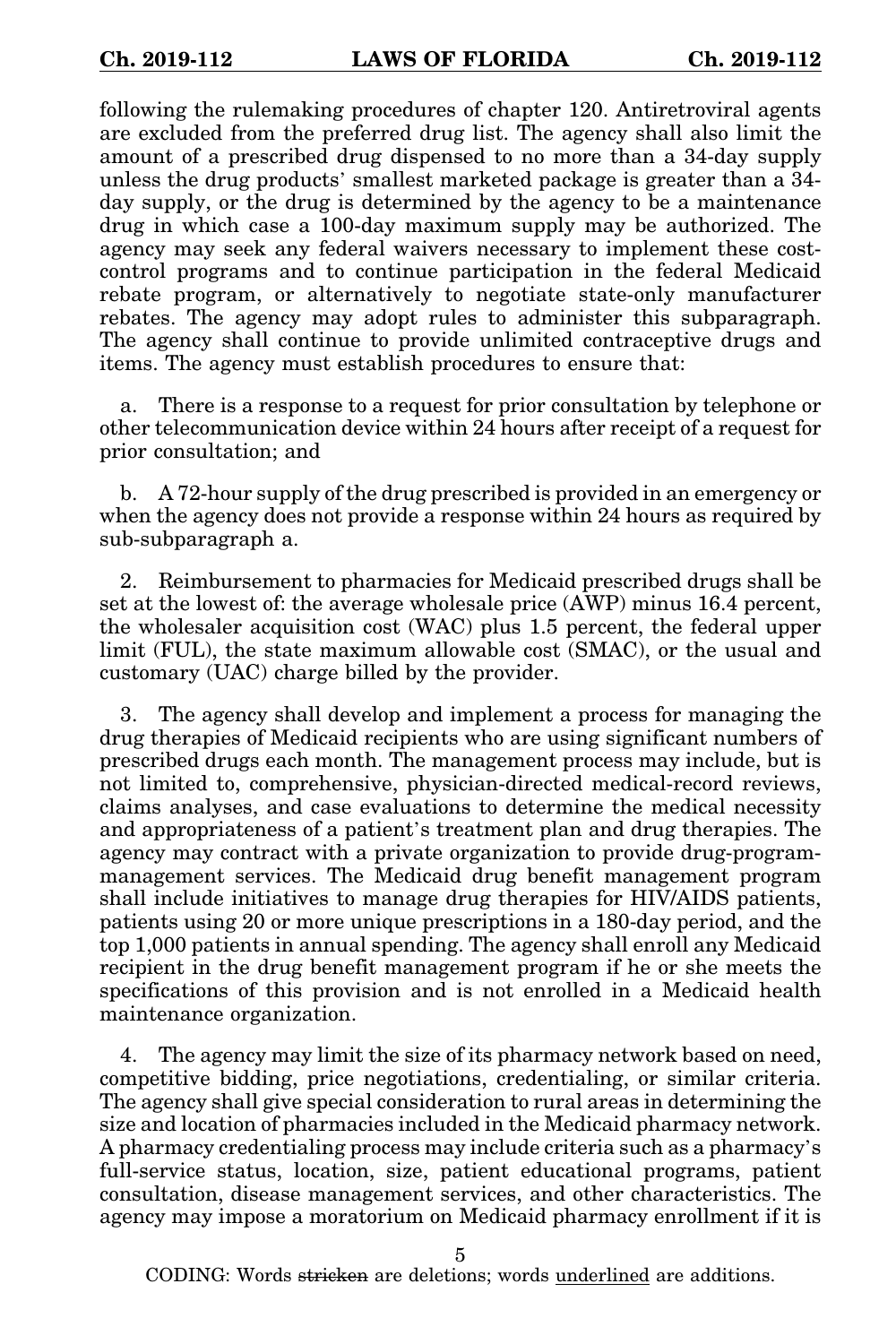following the rulemaking procedures of chapter 120. Antiretroviral agents are excluded from the preferred drug list. The agency shall also limit the amount of a prescribed drug dispensed to no more than a 34-day supply unless the drug products' smallest marketed package is greater than a 34 day supply, or the drug is determined by the agency to be a maintenance drug in which case a 100-day maximum supply may be authorized. The agency may seek any federal waivers necessary to implement these costcontrol programs and to continue participation in the federal Medicaid rebate program, or alternatively to negotiate state-only manufacturer rebates. The agency may adopt rules to administer this subparagraph. The agency shall continue to provide unlimited contraceptive drugs and items. The agency must establish procedures to ensure that:

a. There is a response to a request for prior consultation by telephone or other telecommunication device within 24 hours after receipt of a request for prior consultation; and

b. A 72-hour supply of the drug prescribed is provided in an emergency or when the agency does not provide a response within 24 hours as required by sub-subparagraph a.

2. Reimbursement to pharmacies for Medicaid prescribed drugs shall be set at the lowest of: the average wholesale price (AWP) minus 16.4 percent, the wholesaler acquisition cost (WAC) plus 1.5 percent, the federal upper limit (FUL), the state maximum allowable cost (SMAC), or the usual and customary (UAC) charge billed by the provider.

3. The agency shall develop and implement a process for managing the drug therapies of Medicaid recipients who are using significant numbers of prescribed drugs each month. The management process may include, but is not limited to, comprehensive, physician-directed medical-record reviews, claims analyses, and case evaluations to determine the medical necessity and appropriateness of a patient's treatment plan and drug therapies. The agency may contract with a private organization to provide drug-programmanagement services. The Medicaid drug benefit management program shall include initiatives to manage drug therapies for HIV/AIDS patients, patients using 20 or more unique prescriptions in a 180-day period, and the top 1,000 patients in annual spending. The agency shall enroll any Medicaid recipient in the drug benefit management program if he or she meets the specifications of this provision and is not enrolled in a Medicaid health maintenance organization.

4. The agency may limit the size of its pharmacy network based on need, competitive bidding, price negotiations, credentialing, or similar criteria. The agency shall give special consideration to rural areas in determining the size and location of pharmacies included in the Medicaid pharmacy network. A pharmacy credentialing process may include criteria such as a pharmacy's full-service status, location, size, patient educational programs, patient consultation, disease management services, and other characteristics. The agency may impose a moratorium on Medicaid pharmacy enrollment if it is

5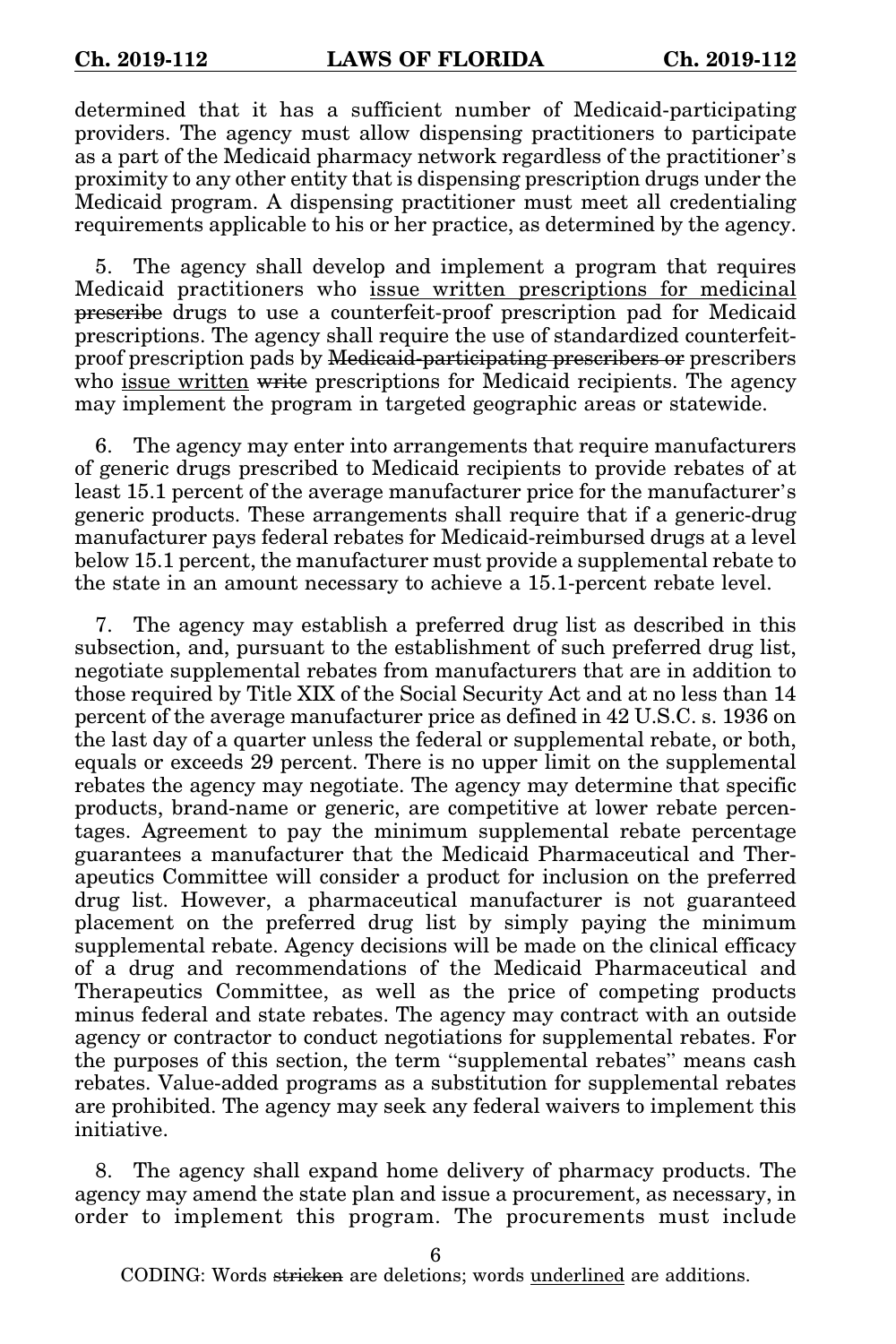determined that it has a sufficient number of Medicaid-participating providers. The agency must allow dispensing practitioners to participate as a part of the Medicaid pharmacy network regardless of the practitioner's proximity to any other entity that is dispensing prescription drugs under the Medicaid program. A dispensing practitioner must meet all credentialing requirements applicable to his or her practice, as determined by the agency.

5. The agency shall develop and implement a program that requires Medicaid practitioners who issue written prescriptions for medicinal prescribe drugs to use a counterfeit-proof prescription pad for Medicaid prescriptions. The agency shall require the use of standardized counterfeitproof prescription pads by Medicaid-participating prescribers or prescribers who issue written write prescriptions for Medicaid recipients. The agency may implement the program in targeted geographic areas or statewide.

6. The agency may enter into arrangements that require manufacturers of generic drugs prescribed to Medicaid recipients to provide rebates of at least 15.1 percent of the average manufacturer price for the manufacturer's generic products. These arrangements shall require that if a generic-drug manufacturer pays federal rebates for Medicaid-reimbursed drugs at a level below 15.1 percent, the manufacturer must provide a supplemental rebate to the state in an amount necessary to achieve a 15.1-percent rebate level.

7. The agency may establish a preferred drug list as described in this subsection, and, pursuant to the establishment of such preferred drug list, negotiate supplemental rebates from manufacturers that are in addition to those required by Title XIX of the Social Security Act and at no less than 14 percent of the average manufacturer price as defined in 42 U.S.C. s. 1936 on the last day of a quarter unless the federal or supplemental rebate, or both, equals or exceeds 29 percent. There is no upper limit on the supplemental rebates the agency may negotiate. The agency may determine that specific products, brand-name or generic, are competitive at lower rebate percentages. Agreement to pay the minimum supplemental rebate percentage guarantees a manufacturer that the Medicaid Pharmaceutical and Therapeutics Committee will consider a product for inclusion on the preferred drug list. However, a pharmaceutical manufacturer is not guaranteed placement on the preferred drug list by simply paying the minimum supplemental rebate. Agency decisions will be made on the clinical efficacy of a drug and recommendations of the Medicaid Pharmaceutical and Therapeutics Committee, as well as the price of competing products minus federal and state rebates. The agency may contract with an outside agency or contractor to conduct negotiations for supplemental rebates. For the purposes of this section, the term "supplemental rebates" means cash rebates. Value-added programs as a substitution for supplemental rebates are prohibited. The agency may seek any federal waivers to implement this initiative.

8. The agency shall expand home delivery of pharmacy products. The agency may amend the state plan and issue a procurement, as necessary, in order to implement this program. The procurements must include

6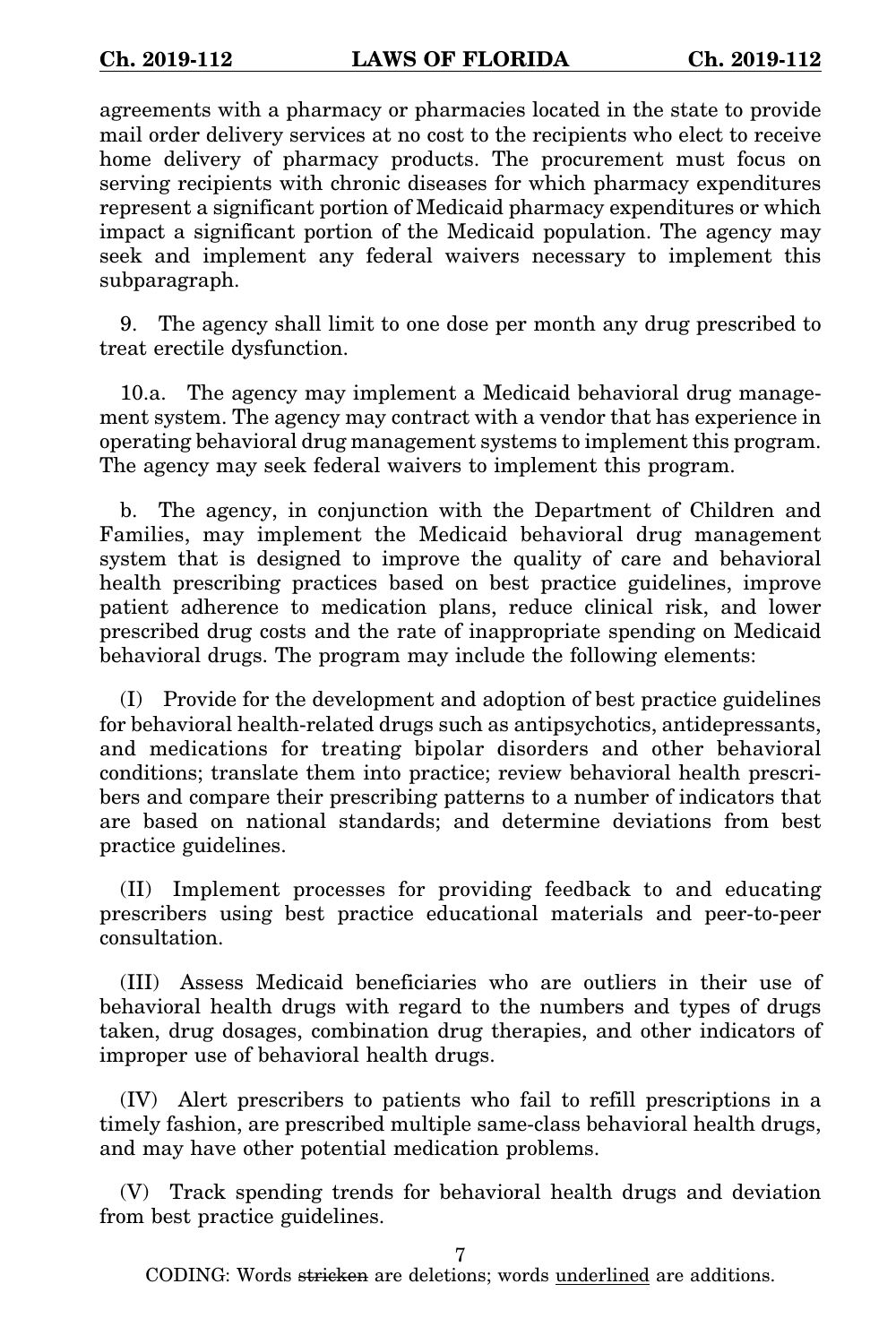agreements with a pharmacy or pharmacies located in the state to provide mail order delivery services at no cost to the recipients who elect to receive home delivery of pharmacy products. The procurement must focus on serving recipients with chronic diseases for which pharmacy expenditures represent a significant portion of Medicaid pharmacy expenditures or which impact a significant portion of the Medicaid population. The agency may seek and implement any federal waivers necessary to implement this subparagraph.

9. The agency shall limit to one dose per month any drug prescribed to treat erectile dysfunction.

10.a. The agency may implement a Medicaid behavioral drug management system. The agency may contract with a vendor that has experience in operating behavioral drug management systems to implement this program. The agency may seek federal waivers to implement this program.

b. The agency, in conjunction with the Department of Children and Families, may implement the Medicaid behavioral drug management system that is designed to improve the quality of care and behavioral health prescribing practices based on best practice guidelines, improve patient adherence to medication plans, reduce clinical risk, and lower prescribed drug costs and the rate of inappropriate spending on Medicaid behavioral drugs. The program may include the following elements:

(I) Provide for the development and adoption of best practice guidelines for behavioral health-related drugs such as antipsychotics, antidepressants, and medications for treating bipolar disorders and other behavioral conditions; translate them into practice; review behavioral health prescribers and compare their prescribing patterns to a number of indicators that are based on national standards; and determine deviations from best practice guidelines.

(II) Implement processes for providing feedback to and educating prescribers using best practice educational materials and peer-to-peer consultation.

(III) Assess Medicaid beneficiaries who are outliers in their use of behavioral health drugs with regard to the numbers and types of drugs taken, drug dosages, combination drug therapies, and other indicators of improper use of behavioral health drugs.

(IV) Alert prescribers to patients who fail to refill prescriptions in a timely fashion, are prescribed multiple same-class behavioral health drugs, and may have other potential medication problems.

(V) Track spending trends for behavioral health drugs and deviation from best practice guidelines.

7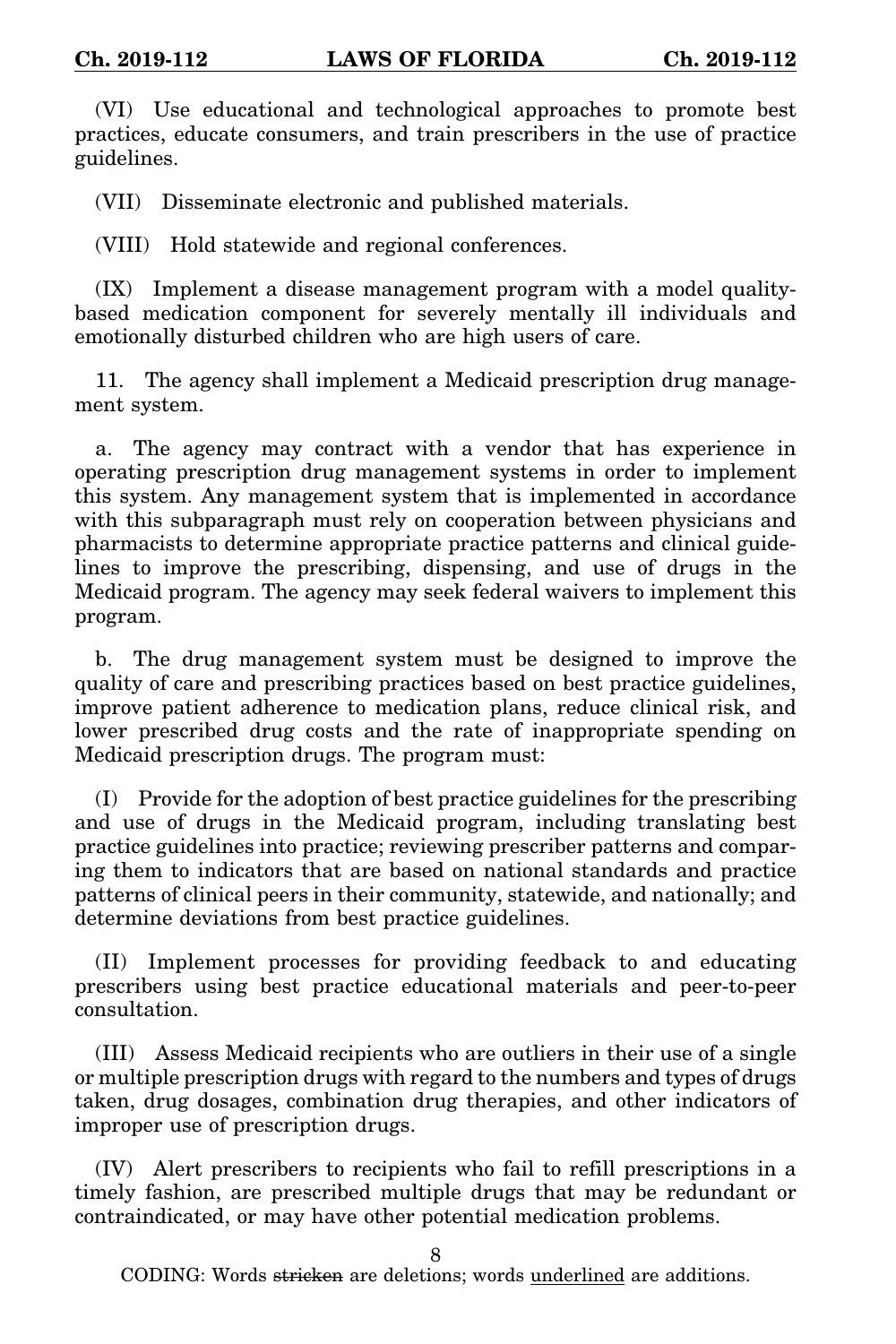(VI) Use educational and technological approaches to promote best practices, educate consumers, and train prescribers in the use of practice guidelines.

(VII) Disseminate electronic and published materials.

(VIII) Hold statewide and regional conferences.

(IX) Implement a disease management program with a model qualitybased medication component for severely mentally ill individuals and emotionally disturbed children who are high users of care.

11. The agency shall implement a Medicaid prescription drug management system.

a. The agency may contract with a vendor that has experience in operating prescription drug management systems in order to implement this system. Any management system that is implemented in accordance with this subparagraph must rely on cooperation between physicians and pharmacists to determine appropriate practice patterns and clinical guidelines to improve the prescribing, dispensing, and use of drugs in the Medicaid program. The agency may seek federal waivers to implement this program.

b. The drug management system must be designed to improve the quality of care and prescribing practices based on best practice guidelines, improve patient adherence to medication plans, reduce clinical risk, and lower prescribed drug costs and the rate of inappropriate spending on Medicaid prescription drugs. The program must:

(I) Provide for the adoption of best practice guidelines for the prescribing and use of drugs in the Medicaid program, including translating best practice guidelines into practice; reviewing prescriber patterns and comparing them to indicators that are based on national standards and practice patterns of clinical peers in their community, statewide, and nationally; and determine deviations from best practice guidelines.

(II) Implement processes for providing feedback to and educating prescribers using best practice educational materials and peer-to-peer consultation.

(III) Assess Medicaid recipients who are outliers in their use of a single or multiple prescription drugs with regard to the numbers and types of drugs taken, drug dosages, combination drug therapies, and other indicators of improper use of prescription drugs.

(IV) Alert prescribers to recipients who fail to refill prescriptions in a timely fashion, are prescribed multiple drugs that may be redundant or contraindicated, or may have other potential medication problems.

 $\mathbf 8$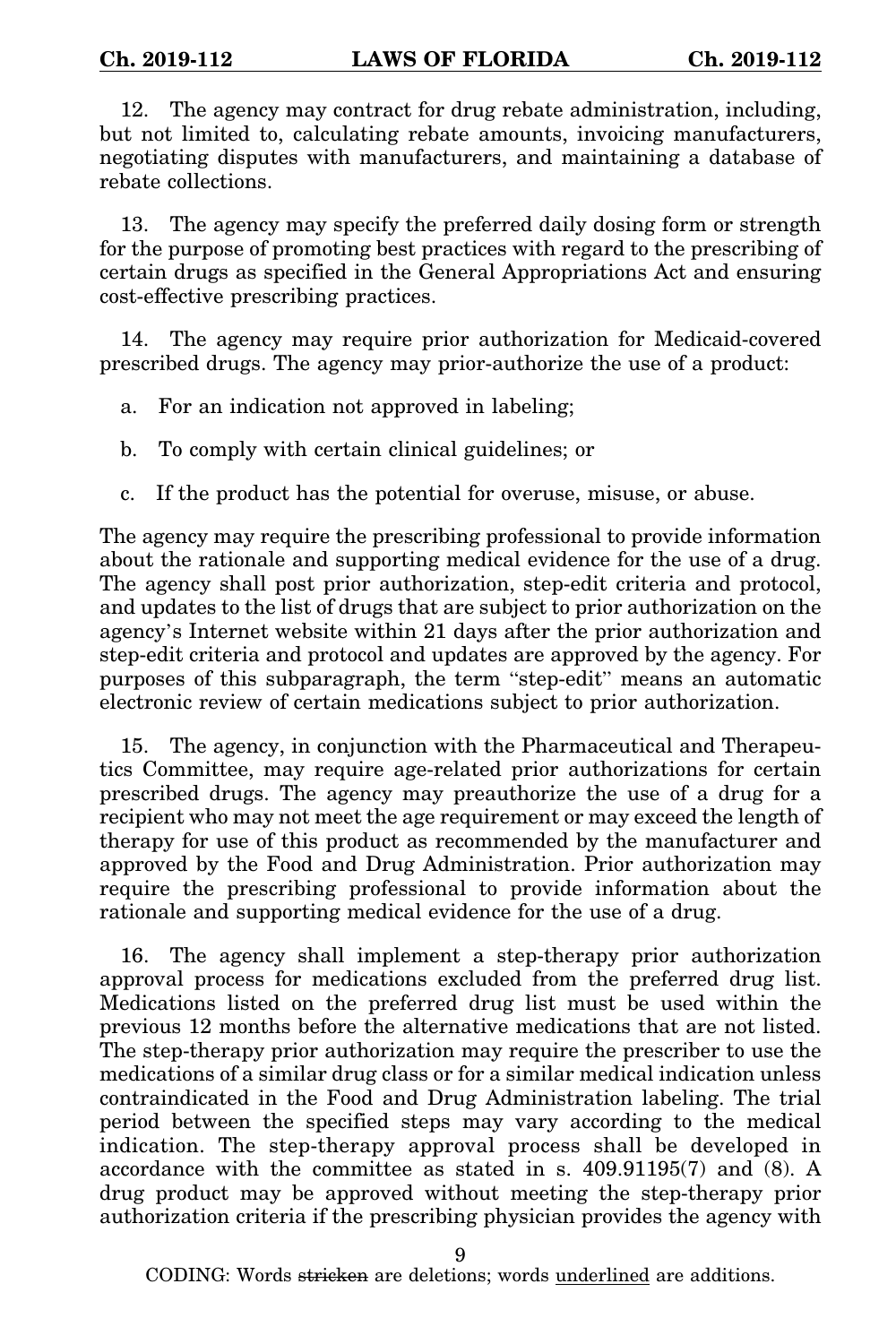12. The agency may contract for drug rebate administration, including, but not limited to, calculating rebate amounts, invoicing manufacturers, negotiating disputes with manufacturers, and maintaining a database of rebate collections.

13. The agency may specify the preferred daily dosing form or strength for the purpose of promoting best practices with regard to the prescribing of certain drugs as specified in the General Appropriations Act and ensuring cost-effective prescribing practices.

14. The agency may require prior authorization for Medicaid-covered prescribed drugs. The agency may prior-authorize the use of a product:

- a. For an indication not approved in labeling;
- b. To comply with certain clinical guidelines; or
- c. If the product has the potential for overuse, misuse, or abuse.

The agency may require the prescribing professional to provide information about the rationale and supporting medical evidence for the use of a drug. The agency shall post prior authorization, step-edit criteria and protocol, and updates to the list of drugs that are subject to prior authorization on the agency's Internet website within 21 days after the prior authorization and step-edit criteria and protocol and updates are approved by the agency. For purposes of this subparagraph, the term "step-edit" means an automatic electronic review of certain medications subject to prior authorization.

15. The agency, in conjunction with the Pharmaceutical and Therapeutics Committee, may require age-related prior authorizations for certain prescribed drugs. The agency may preauthorize the use of a drug for a recipient who may not meet the age requirement or may exceed the length of therapy for use of this product as recommended by the manufacturer and approved by the Food and Drug Administration. Prior authorization may require the prescribing professional to provide information about the rationale and supporting medical evidence for the use of a drug.

16. The agency shall implement a step-therapy prior authorization approval process for medications excluded from the preferred drug list. Medications listed on the preferred drug list must be used within the previous 12 months before the alternative medications that are not listed. The step-therapy prior authorization may require the prescriber to use the medications of a similar drug class or for a similar medical indication unless contraindicated in the Food and Drug Administration labeling. The trial period between the specified steps may vary according to the medical indication. The step-therapy approval process shall be developed in accordance with the committee as stated in s. 409.91195(7) and (8). A drug product may be approved without meeting the step-therapy prior authorization criteria if the prescribing physician provides the agency with

9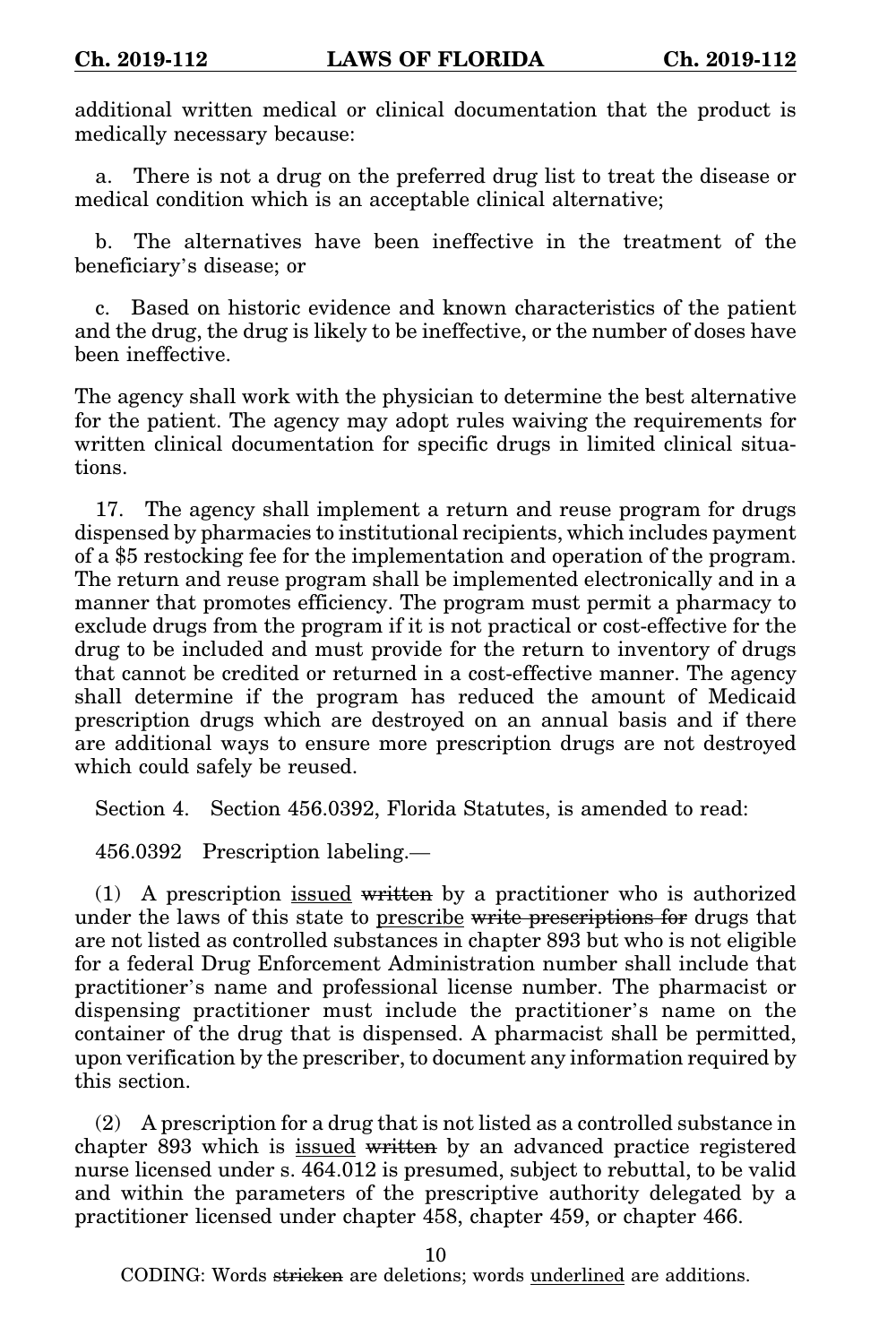additional written medical or clinical documentation that the product is medically necessary because:

a. There is not a drug on the preferred drug list to treat the disease or medical condition which is an acceptable clinical alternative;

b. The alternatives have been ineffective in the treatment of the beneficiary's disease; or

c. Based on historic evidence and known characteristics of the patient and the drug, the drug is likely to be ineffective, or the number of doses have been ineffective.

The agency shall work with the physician to determine the best alternative for the patient. The agency may adopt rules waiving the requirements for written clinical documentation for specific drugs in limited clinical situations.

17. The agency shall implement a return and reuse program for drugs dispensed by pharmacies to institutional recipients, which includes payment of a \$5 restocking fee for the implementation and operation of the program. The return and reuse program shall be implemented electronically and in a manner that promotes efficiency. The program must permit a pharmacy to exclude drugs from the program if it is not practical or cost-effective for the drug to be included and must provide for the return to inventory of drugs that cannot be credited or returned in a cost-effective manner. The agency shall determine if the program has reduced the amount of Medicaid prescription drugs which are destroyed on an annual basis and if there are additional ways to ensure more prescription drugs are not destroyed which could safely be reused.

Section 4. Section 456.0392, Florida Statutes, is amended to read:

456.0392 Prescription labeling.—

(1) A prescription issued written by a practitioner who is authorized under the laws of this state to prescribe write prescriptions for drugs that are not listed as controlled substances in chapter 893 but who is not eligible for a federal Drug Enforcement Administration number shall include that practitioner's name and professional license number. The pharmacist or dispensing practitioner must include the practitioner's name on the container of the drug that is dispensed. A pharmacist shall be permitted, upon verification by the prescriber, to document any information required by this section.

(2) A prescription for a drug that is not listed as a controlled substance in chapter 893 which is issued written by an advanced practice registered nurse licensed under s. 464.012 is presumed, subject to rebuttal, to be valid and within the parameters of the prescriptive authority delegated by a practitioner licensed under chapter 458, chapter 459, or chapter 466.

10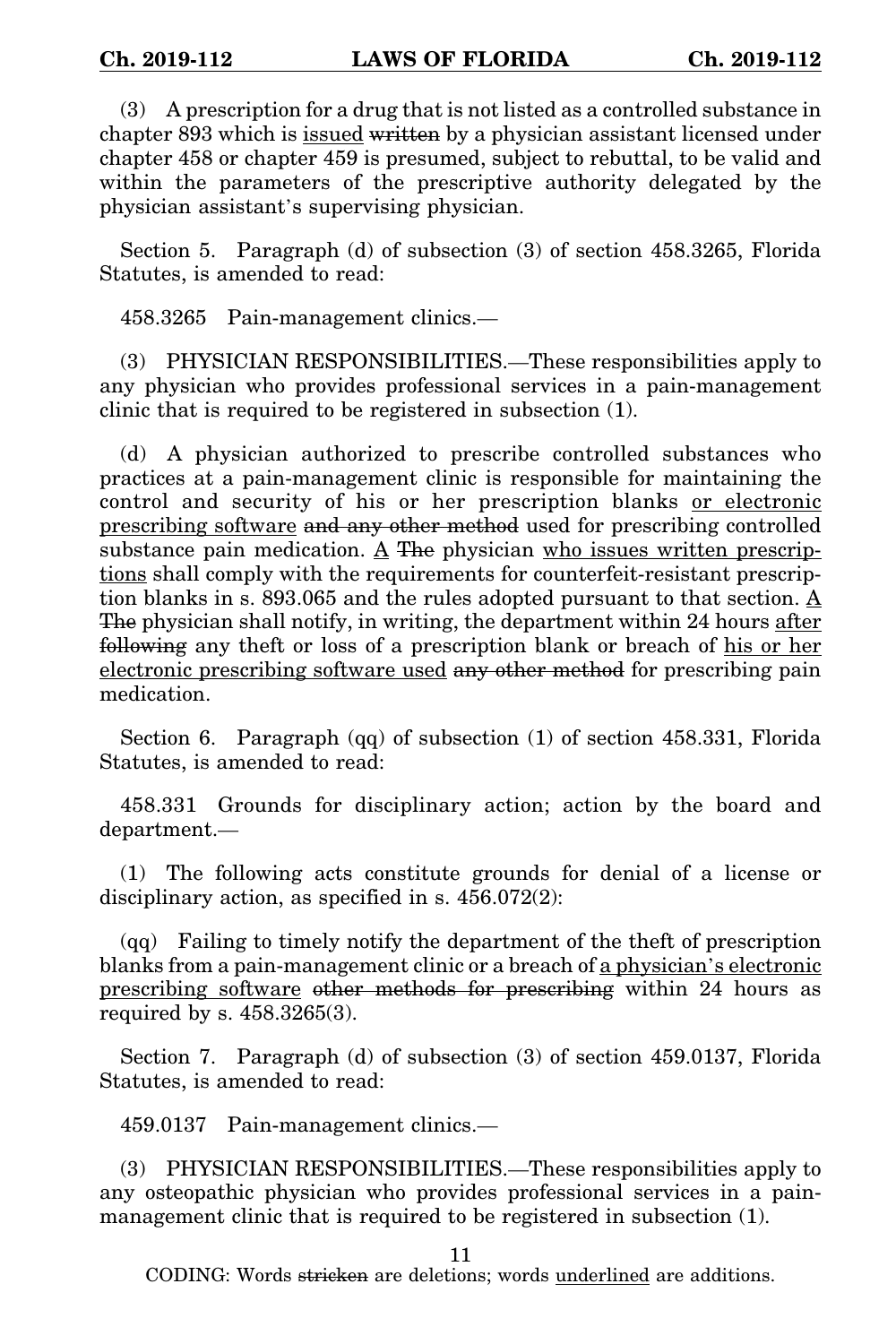(3) A prescription for a drug that is not listed as a controlled substance in chapter 893 which is issued written by a physician assistant licensed under chapter 458 or chapter 459 is presumed, subject to rebuttal, to be valid and within the parameters of the prescriptive authority delegated by the physician assistant's supervising physician.

Section 5. Paragraph (d) of subsection (3) of section 458.3265, Florida Statutes, is amended to read:

458.3265 Pain-management clinics.—

(3) PHYSICIAN RESPONSIBILITIES.—These responsibilities apply to any physician who provides professional services in a pain-management clinic that is required to be registered in subsection (1).

(d) A physician authorized to prescribe controlled substances who practices at a pain-management clinic is responsible for maintaining the control and security of his or her prescription blanks or electronic prescribing software and any other method used for prescribing controlled substance pain medication. A The physician who issues written prescriptions shall comply with the requirements for counterfeit-resistant prescription blanks in s. 893.065 and the rules adopted pursuant to that section. A The physician shall notify, in writing, the department within 24 hours after following any theft or loss of a prescription blank or breach of his or her electronic prescribing software used any other method for prescribing pain medication.

Section 6. Paragraph (qq) of subsection (1) of section 458.331, Florida Statutes, is amended to read:

458.331 Grounds for disciplinary action; action by the board and department.—

(1) The following acts constitute grounds for denial of a license or disciplinary action, as specified in s. 456.072(2):

(qq) Failing to timely notify the department of the theft of prescription blanks from a pain-management clinic or a breach of a physician's electronic prescribing software other methods for prescribing within 24 hours as required by s. 458.3265(3).

Section 7. Paragraph (d) of subsection (3) of section 459.0137, Florida Statutes, is amended to read:

459.0137 Pain-management clinics.—

(3) PHYSICIAN RESPONSIBILITIES.—These responsibilities apply to any osteopathic physician who provides professional services in a painmanagement clinic that is required to be registered in subsection (1).

11